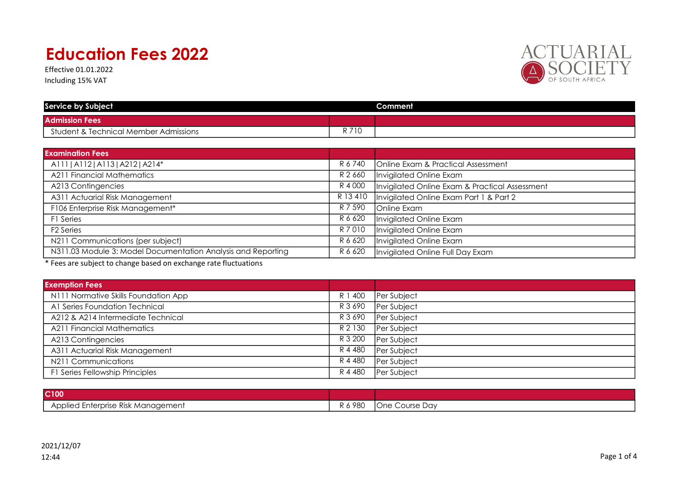Effective 01.01.2022 Including 15% VAT



| <b>Service by Subject</b>             |       | Comment |
|---------------------------------------|-------|---------|
| <b>Admission Fees</b>                 |       |         |
| Student & Technical Member Admissions | n 710 |         |

| <b>Examination Fees</b>                                      |           |                                                |
|--------------------------------------------------------------|-----------|------------------------------------------------|
| A111   A112   A113   A212   A214*                            | R 6 740   | Online Exam & Practical Assessment             |
| <b>A211 Financial Mathematics</b>                            | R 2 660   | Invigilated Online Exam                        |
| A213 Contingencies                                           | R 4 000   | Invigilated Online Exam & Practical Assessment |
| A311 Actuarial Risk Management                               | R 13410   | Invigilated Online Exam Part 1 & Part 2        |
| F106 Enterprise Risk Management*                             | R 7 590   | Online Exam                                    |
| F1 Series                                                    | R 6 620   | Invigilated Online Exam                        |
| F <sub>2</sub> Series                                        | R 7 0 1 0 | Invigilated Online Exam                        |
| N211 Communications (per subject)                            | R 6 620   | Invigilated Online Exam                        |
| N311.03 Module 3: Model Documentation Analysis and Reporting | R 6 620   | Invigilated Online Full Day Exam               |

\* Fees are subject to change based on exchange rate fluctuations

| <b>Exemption Fees</b>                |         |             |
|--------------------------------------|---------|-------------|
| N111 Normative Skills Foundation App | R 1 400 | Per Subject |
| A1 Series Foundation Technical       | R 3 690 | Per Subject |
| A212 & A214 Intermediate Technical   | R 3 690 | Per Subject |
| <b>A211 Financial Mathematics</b>    | R 2 130 | Per Subject |
| A213 Contingencies                   | R 3 200 | Per Subject |
| A311 Actuarial Risk Management       | R 4 480 | Per Subject |
| N211 Communications                  | R 4 480 | Per Subject |
| F1 Series Fellowship Principles      | R 4 480 | Per Subject |

| C <sub>100</sub>                   |                |                   |
|------------------------------------|----------------|-------------------|
| Applied Enterprise Risk Management | $-980$<br>IN U | Course Day<br>One |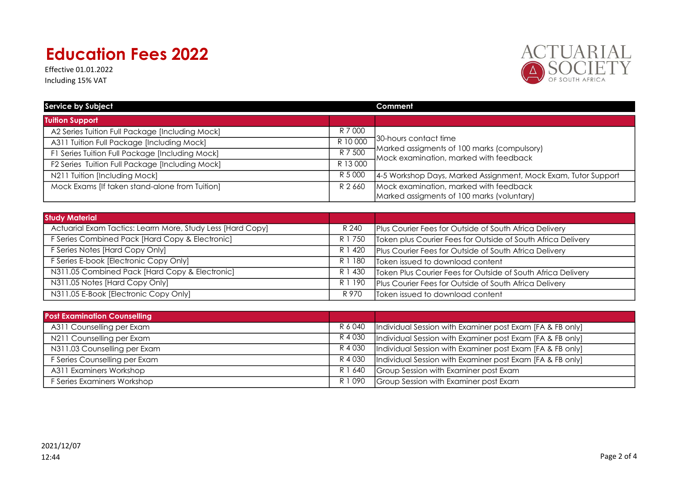Effective 01.01.2022 Including 15% VAT



| <b>Service by Subject</b>                       |          | Comment                                                                                                 |
|-------------------------------------------------|----------|---------------------------------------------------------------------------------------------------------|
| <b>Tuition Support</b>                          |          |                                                                                                         |
| A2 Series Tuition Full Package [Including Mock] | R 7 000  |                                                                                                         |
| A311 Tuition Full Package [Including Mock]      | R 10 000 | 130-hours contact time                                                                                  |
| F1 Series Tuition Full Package [Including Mock] | R 7 500  | Marked assigments of 100 marks (compulsory)<br>$\sqrt{\mathsf{Mock}}$ examination, marked with feedback |
| F2 Series Tuition Full Package [Including Mock] | R 13 000 |                                                                                                         |
| N211 Tuition [Including Mock]                   | R 5 000  | 4-5 Workshop Days, Marked Assignment, Mock Exam, Tutor Support                                          |
| Mock Exams [If taken stand-alone from Tuition]  | R 2 660  | Mock examination, marked with feedback                                                                  |
|                                                 |          | Marked assigments of 100 marks (voluntary)                                                              |

| <b>Study Material</b>                                       |         |                                                              |
|-------------------------------------------------------------|---------|--------------------------------------------------------------|
| Actuarial Exam Tactics: Learrn More, Study Less [Hard Copy] | R 240   | Plus Courier Fees for Outside of South Africa Delivery       |
| F Series Combined Pack [Hard Copy & Electronic]             | R 1 750 | Token plus Courier Fees for Outside of South Africa Delivery |
| F Series Notes [Hard Copy Only]                             | R 1 420 | Plus Courier Fees for Outside of South Africa Delivery       |
| F Series E-book [Electronic Copy Only]                      | R 1 180 | Token issued to download content                             |
| N311.05 Combined Pack [Hard Copy & Electronic]              | R 1 430 | Token Plus Courier Fees for Outside of South Africa Delivery |
| N311.05 Notes [Hard Copy Only]                              | R 1 190 | Plus Courier Fees for Outside of South Africa Delivery       |
| N311.05 E-Book [Electronic Copy Only]                       | R 970   | Token issued to download content                             |

| <b>Post Examination Counselling</b> |         |                                                           |
|-------------------------------------|---------|-----------------------------------------------------------|
| A311 Counselling per Exam           | R 6 040 | Individual Session with Examiner post Exam [FA & FB only] |
| N211 Counselling per Exam           | R 4 030 | Individual Session with Examiner post Exam [FA & FB only] |
| N311.03 Counselling per Exam        | R 4 030 | Individual Session with Examiner post Exam [FA & FB only] |
| F Series Counselling per Exam       | R 4 030 | Individual Session with Examiner post Exam [FA & FB only] |
| A311 Examiners Workshop             | R 1 640 | Group Session with Examiner post Exam                     |
| F Series Examiners Workshop         | R 1 090 | Group Session with Examiner post Exam                     |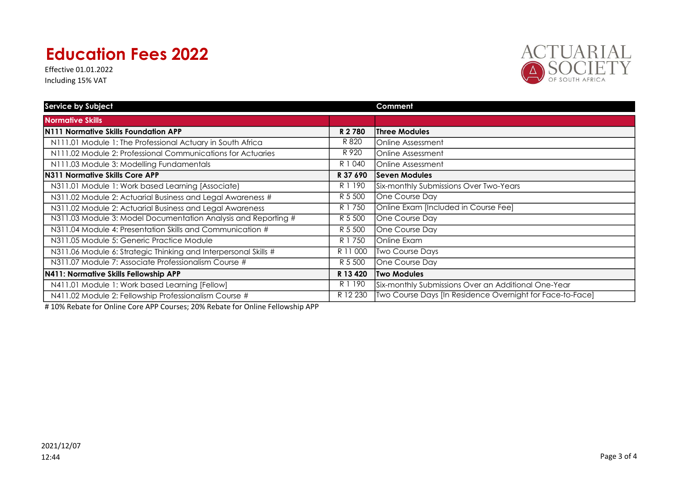Effective 01.01.2022 Including 15% VAT



| <b>Service by Subject</b>                                       |          | Comment                                                   |
|-----------------------------------------------------------------|----------|-----------------------------------------------------------|
| <b>Normative Skills</b>                                         |          |                                                           |
| N111 Normative Skills Foundation APP                            | R 2780   | <b>Three Modules</b>                                      |
| N111.01 Module 1: The Professional Actuary in South Africa      | R 820    | <b>IOnline Assessment</b>                                 |
| N111.02 Module 2: Professional Communications for Actuaries     | R 920    | <b>Online Assessment</b>                                  |
| N111.03 Module 3: Modelling Fundamentals                        | R 1 040  | Online Assessment                                         |
| N311 Normative Skills Core APP                                  | R 37 690 | <b>Seven Modules</b>                                      |
| N311.01 Module 1: Work based Learning [Associate]               | R 1 190  | Six-monthly Submissions Over Two-Years                    |
| N311.02 Module 2: Actuarial Business and Legal Awareness #      | R 5 500  | One Course Day                                            |
| N311.02 Module 2: Actuarial Business and Legal Awareness        | R 1 750  | Online Exam [Included in Course Fee]                      |
| N311.03 Module 3: Model Documentation Analysis and Reporting #  | R 5 500  | One Course Day                                            |
| N311.04 Module 4: Presentation Skills and Communication #       | R 5 500  | One Course Day                                            |
| N311.05 Module 5: Generic Practice Module                       | R 1 750  | Online Exam                                               |
| N311.06 Module 6: Strategic Thinking and Interpersonal Skills # | R 11 000 | Two Course Days                                           |
| N311.07 Module 7: Associate Professionalism Course #            | R 5 500  | One Course Day                                            |
| N411: Normative Skills Fellowship APP                           | R 13 420 | <b>Two Modules</b>                                        |
| N411.01 Module 1: Work based Learning [Fellow]                  | R 1 190  | Six-monthly Submissions Over an Additional One-Year       |
| N411.02 Module 2: Fellowship Professionalism Course #           | R 12 230 | Two Course Days [In Residence Overnight for Face-to-Face] |

# 10% Rebate for Online Core APP Courses; 20% Rebate for Online Fellowship APP